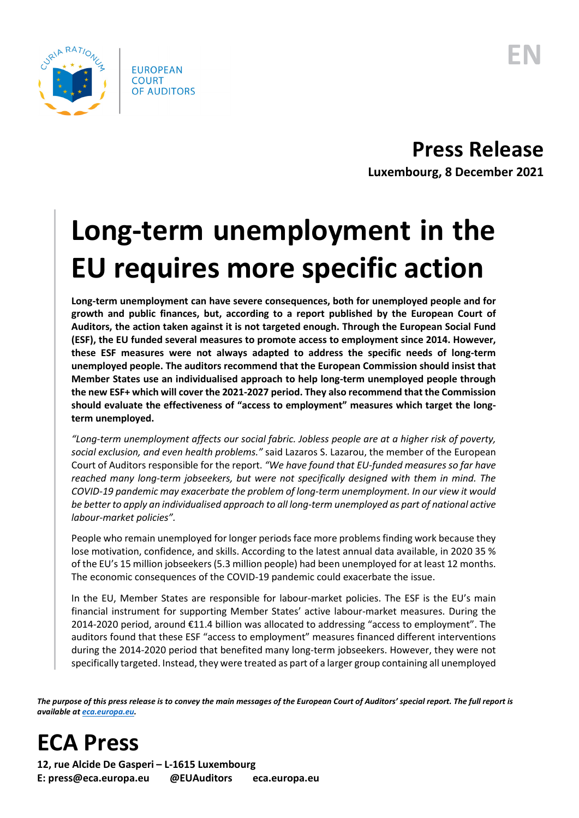

**Press Release Luxembourg, 8 December 2021**

## **Long-term unemployment in the EU requires more specific action**

**Long-term unemployment can have severe consequences, both for unemployed people and for growth and public finances, but, according to a report published by the European Court of Auditors, the action taken against it is not targeted enough. Through the European Social Fund (ESF), the EU funded several measures to promote access to employment since 2014. However, these ESF measures were not always adapted to address the specific needs of long-term unemployed people. The auditors recommend that the European Commission should insist that Member States use an individualised approach to help long-term unemployed people through the new ESF+ which will cover the 2021-2027 period. They also recommend that the Commission should evaluate the effectiveness of "access to employment" measures which target the longterm unemployed.** 

*"Long-term unemployment affects our social fabric. Jobless people are at a higher risk of poverty, social exclusion, and even health problems."* said Lazaros S. Lazarou, the member of the European Court of Auditors responsible for the report. *"We have found that EU-funded measures so far have reached many long-term jobseekers, but were not specifically designed with them in mind. The COVID-19 pandemic may exacerbate the problem of long-term unemployment. In our view it would be better to apply an individualised approach to all long-term unemployed as part of national active labour-market policies".*

People who remain unemployed for longer periods face more problems finding work because they lose motivation, confidence, and skills. According to the latest annual data available, in 2020 35 % of the EU's 15 million jobseekers (5.3 million people) had been unemployed for at least 12 months. The economic consequences of the COVID-19 pandemic could exacerbate the issue.

In the EU, Member States are responsible for labour-market policies. The ESF is the EU's main financial instrument for supporting Member States' active labour-market measures. During the 2014-2020 period, around €11.4 billion was allocated to addressing "access to employment". The auditors found that these ESF "access to employment" measures financed different interventions during the 2014-2020 period that benefited many long-term jobseekers. However, they were not specifically targeted. Instead, they were treated as part of a larger group containing all unemployed

*The purpose of this press release is to convey the main messages of the European Court of Auditors' special report. The full report is available a[t eca.europa.eu.](https://www.eca.europa.eu/)*

**ECA Press**

**12, rue Alcide De Gasperi – L-1615 Luxembourg E: press@eca.europa.eu @EUAuditors eca.europa.eu**